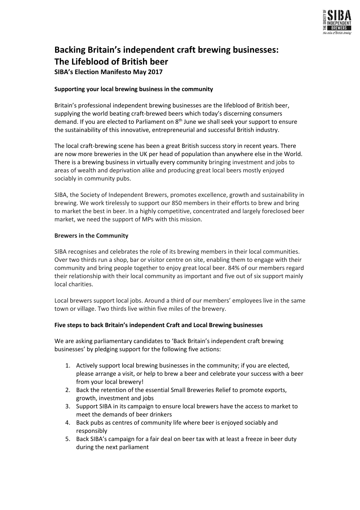

# **Backing Britain's independent craft brewing businesses: The Lifeblood of British beer SIBA's Election Manifesto May 2017**

# **Supporting your local brewing business in the community**

Britain's professional independent brewing businesses are the lifeblood of British beer, supplying the world beating craft-brewed beers which today's discerning consumers demand. If you are elected to Parliament on 8<sup>th</sup> June we shall seek your support to ensure the sustainability of this innovative, entrepreneurial and successful British industry.

The local craft-brewing scene has been a great British success story in recent years. There are now more breweries in the UK per head of population than anywhere else in the World. There is a brewing business in virtually every community bringing investment and jobs to areas of wealth and deprivation alike and producing great local beers mostly enjoyed sociably in community pubs.

SIBA, the Society of Independent Brewers, promotes excellence, growth and sustainability in brewing. We work tirelessly to support our 850 members in their efforts to brew and bring to market the best in beer. In a highly competitive, concentrated and largely foreclosed beer market, we need the support of MPs with this mission.

# **Brewers in the Community**

SIBA recognises and celebrates the role of its brewing members in their local communities. Over two thirds run a shop, bar or visitor centre on site, enabling them to engage with their community and bring people together to enjoy great local beer. 84% of our members regard their relationship with their local community as important and five out of six support mainly local charities.

Local brewers support local jobs. Around a third of our members' employees live in the same town or village. Two thirds live within five miles of the brewery.

# **Five steps to back Britain's independent Craft and Local Brewing businesses**

We are asking parliamentary candidates to 'Back Britain's independent craft brewing businesses' by pledging support for the following five actions:

- 1. Actively support local brewing businesses in the community; if you are elected, please arrange a visit, or help to brew a beer and celebrate your success with a beer from your local brewery!
- 2. Back the retention of the essential Small Breweries Relief to promote exports, growth, investment and jobs
- 3. Support SIBA in its campaign to ensure local brewers have the access to market to meet the demands of beer drinkers
- 4. Back pubs as centres of community life where beer is enjoyed sociably and responsibly
- 5. Back SIBA's campaign for a fair deal on beer tax with at least a freeze in beer duty during the next parliament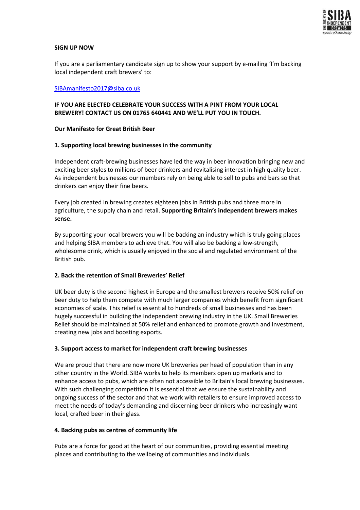

# **SIGN UP NOW**

If you are a parliamentary candidate sign up to show your support by e-mailing 'I'm backing local independent craft brewers' to:

#### [SIBAmanifesto2017@siba.co.uk](mailto:SIBAmanifesto2015@siba.co.uk)

# **IF YOU ARE ELECTED CELEBRATE YOUR SUCCESS WITH A PINT FROM YOUR LOCAL BREWERY! CONTACT US ON 01765 640441 AND WE'LL PUT YOU IN TOUCH.**

#### **Our Manifesto for Great British Beer**

#### **1. Supporting local brewing businesses in the community**

Independent craft-brewing businesses have led the way in beer innovation bringing new and exciting beer styles to millions of beer drinkers and revitalising interest in high quality beer. As independent businesses our members rely on being able to sell to pubs and bars so that drinkers can enjoy their fine beers.

Every job created in brewing creates eighteen jobs in British pubs and three more in agriculture, the supply chain and retail. **Supporting Britain's independent brewers makes sense.**

By supporting your local brewers you will be backing an industry which is truly going places and helping SIBA members to achieve that. You will also be backing a low-strength, wholesome drink, which is usually enjoyed in the social and regulated environment of the British pub.

# **2. Back the retention of Small Breweries' Relief**

UK beer duty is the second highest in Europe and the smallest brewers receive 50% relief on beer duty to help them compete with much larger companies which benefit from significant economies of scale. This relief is essential to hundreds of small businesses and has been hugely successful in building the independent brewing industry in the UK. Small Breweries Relief should be maintained at 50% relief and enhanced to promote growth and investment, creating new jobs and boosting exports.

# **3. Support access to market for independent craft brewing businesses**

We are proud that there are now more UK breweries per head of population than in any other country in the World. SIBA works to help its members open up markets and to enhance access to pubs, which are often not accessible to Britain's local brewing businesses. With such challenging competition it is essential that we ensure the sustainability and ongoing success of the sector and that we work with retailers to ensure improved access to meet the needs of today's demanding and discerning beer drinkers who increasingly want local, crafted beer in their glass.

#### **4. Backing pubs as centres of community life**

Pubs are a force for good at the heart of our communities, providing essential meeting places and contributing to the wellbeing of communities and individuals.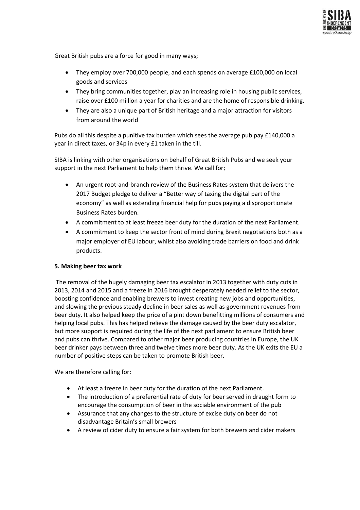

Great British pubs are a force for good in many ways;

- They employ over 700,000 people, and each spends on average £100,000 on local goods and services
- They bring communities together, play an increasing role in housing public services, raise over £100 million a year for charities and are the home of responsible drinking.
- They are also a unique part of British heritage and a major attraction for visitors from around the world

Pubs do all this despite a punitive tax burden which sees the average pub pay £140,000 a year in direct taxes, or 34p in every £1 taken in the till.

SIBA is linking with other organisations on behalf of Great British Pubs and we seek your support in the next Parliament to help them thrive. We call for;

- An urgent root-and-branch review of the Business Rates system that delivers the 2017 Budget pledge to deliver a "Better way of taxing the digital part of the economy" as well as extending financial help for pubs paying a disproportionate Business Rates burden.
- A commitment to at least freeze beer duty for the duration of the next Parliament.
- A commitment to keep the sector front of mind during Brexit negotiations both as a major employer of EU labour, whilst also avoiding trade barriers on food and drink products.

# **5. Making beer tax work**

The removal of the hugely damaging beer tax escalator in 2013 together with duty cuts in 2013, 2014 and 2015 and a freeze in 2016 brought desperately needed relief to the sector, boosting confidence and enabling brewers to invest creating new jobs and opportunities, and slowing the previous steady decline in beer sales as well as government revenues from beer duty. It also helped keep the price of a pint down benefitting millions of consumers and helping local pubs. This has helped relieve the damage caused by the beer duty escalator, but more support is required during the life of the next parliament to ensure British beer and pubs can thrive. Compared to other major beer producing countries in Europe, the UK beer drinker pays between three and twelve times more beer duty. As the UK exits the EU a number of positive steps can be taken to promote British beer.

We are therefore calling for:

- At least a freeze in beer duty for the duration of the next Parliament.
- The introduction of a preferential rate of duty for beer served in draught form to encourage the consumption of beer in the sociable environment of the pub
- Assurance that any changes to the structure of excise duty on beer do not disadvantage Britain's small brewers
- A review of cider duty to ensure a fair system for both brewers and cider makers